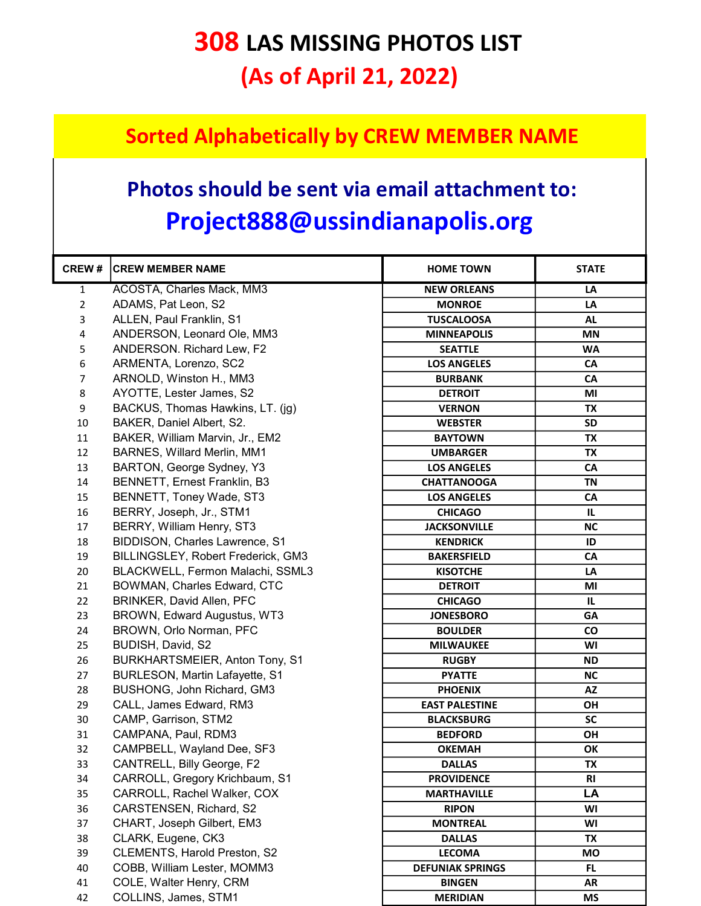## 308 LAS MISSING PHOTOS LIST (As of April 21, 2022)

## Sorted Alphabetically by CREW MEMBER NAME

## Photos should be sent via email attachment to: Project888@ussindianapolis.org

| <b>CREW#</b>   | <b>CREW MEMBER NAME</b>            | <b>HOME TOWN</b>        | <b>STATE</b> |
|----------------|------------------------------------|-------------------------|--------------|
| 1              | ACOSTA, Charles Mack, MM3          | <b>NEW ORLEANS</b>      | LA           |
| $\overline{2}$ | ADAMS, Pat Leon, S2                | <b>MONROE</b>           | LA           |
| 3              | ALLEN, Paul Franklin, S1           | <b>TUSCALOOSA</b>       | <b>AL</b>    |
| 4              | ANDERSON, Leonard Ole, MM3         | <b>MINNEAPOLIS</b>      | MN           |
| 5              | ANDERSON. Richard Lew, F2          | <b>SEATTLE</b>          | WA           |
| 6              | ARMENTA, Lorenzo, SC2              | <b>LOS ANGELES</b>      | CA           |
| 7              | ARNOLD, Winston H., MM3            | <b>BURBANK</b>          | CA           |
| 8              | AYOTTE, Lester James, S2           | <b>DETROIT</b>          | MI           |
| 9              | BACKUS, Thomas Hawkins, LT. (ig)   | <b>VERNON</b>           | TX           |
| 10             | BAKER, Daniel Albert, S2.          | <b>WEBSTER</b>          | <b>SD</b>    |
| 11             | BAKER, William Marvin, Jr., EM2    | <b>BAYTOWN</b>          | TX           |
| 12             | BARNES, Willard Merlin, MM1        | <b>UMBARGER</b>         | TX           |
| 13             | BARTON, George Sydney, Y3          | <b>LOS ANGELES</b>      | CA           |
| 14             | BENNETT, Ernest Franklin, B3       | <b>CHATTANOOGA</b>      | <b>TN</b>    |
| 15             | BENNETT, Toney Wade, ST3           | <b>LOS ANGELES</b>      | <b>CA</b>    |
| 16             | BERRY, Joseph, Jr., STM1           | <b>CHICAGO</b>          | IL.          |
| 17             | BERRY, William Henry, ST3          | <b>JACKSONVILLE</b>     | <b>NC</b>    |
| 18             | BIDDISON, Charles Lawrence, S1     | <b>KENDRICK</b>         | ID           |
| 19             | BILLINGSLEY, Robert Frederick, GM3 | <b>BAKERSFIELD</b>      | CA           |
| 20             | BLACKWELL, Fermon Malachi, SSML3   | <b>KISOTCHE</b>         | LA           |
| 21             | BOWMAN, Charles Edward, CTC        | <b>DETROIT</b>          | MI           |
| 22             | BRINKER, David Allen, PFC          | <b>CHICAGO</b>          | IL           |
| 23             | BROWN, Edward Augustus, WT3        | <b>JONESBORO</b>        | GA           |
| 24             | BROWN, Orlo Norman, PFC            | <b>BOULDER</b>          | <b>CO</b>    |
| 25             | BUDISH, David, S2                  | <b>MILWAUKEE</b>        | WI           |
| 26             | BURKHARTSMEIER, Anton Tony, S1     | <b>RUGBY</b>            | <b>ND</b>    |
| 27             | BURLESON, Martin Lafayette, S1     | <b>PYATTE</b>           | <b>NC</b>    |
| 28             | BUSHONG, John Richard, GM3         | <b>PHOENIX</b>          | AZ           |
| 29             | CALL, James Edward, RM3            | <b>EAST PALESTINE</b>   | ΟH           |
| 30             | CAMP, Garrison, STM2               | <b>BLACKSBURG</b>       | <b>SC</b>    |
| 31             | CAMPANA, Paul, RDM3                | <b>BEDFORD</b>          | OH           |
| 32             | CAMPBELL, Wayland Dee, SF3         | <b>OKEMAH</b>           | OK           |
| 33             | CANTRELL, Billy George, F2         | <b>DALLAS</b>           | TX           |
| 34             | CARROLL, Gregory Krichbaum, S1     | <b>PROVIDENCE</b>       | <b>RI</b>    |
| 35             | CARROLL, Rachel Walker, COX        | <b>MARTHAVILLE</b>      | LA           |
| 36             | CARSTENSEN, Richard, S2            | <b>RIPON</b>            | WI           |
| 37             | CHART, Joseph Gilbert, EM3         | <b>MONTREAL</b>         | WI           |
| 38             | CLARK, Eugene, CK3                 | <b>DALLAS</b>           | TX           |
| 39             | CLEMENTS, Harold Preston, S2       | <b>LECOMA</b>           | MO           |
| 40             | COBB, William Lester, MOMM3        | <b>DEFUNIAK SPRINGS</b> | FL.          |
| 41             | COLE, Walter Henry, CRM            | <b>BINGEN</b>           | AR           |
| 42             | COLLINS, James, STM1               | <b>MERIDIAN</b>         | <b>MS</b>    |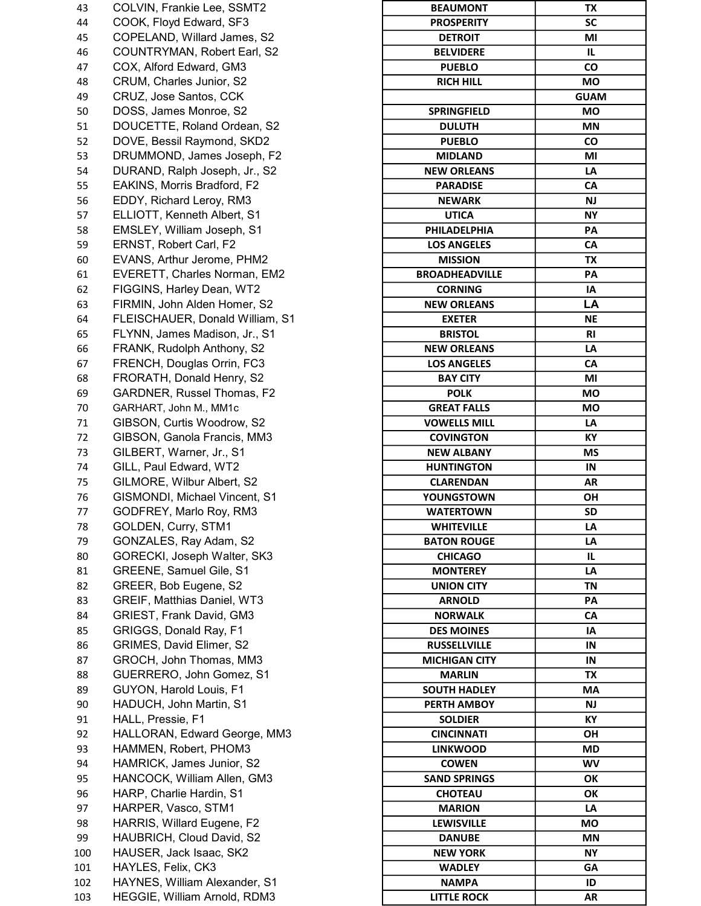| 43       | COLVIN, Frankie Lee, SSMT2                              | <b>BEAUMONT</b>       | TX         |
|----------|---------------------------------------------------------|-----------------------|------------|
| 44       | COOK, Floyd Edward, SF3                                 | <b>PROSPERITY</b>     | SC         |
| 45       | COPELAND, Willard James, S2                             | <b>DETROIT</b>        | MI         |
| 46       | COUNTRYMAN, Robert Earl, S2                             | <b>BELVIDERE</b>      | IL.        |
| 47       | COX, Alford Edward, GM3                                 | <b>PUEBLO</b>         | CO         |
| 48       | CRUM, Charles Junior, S2                                | <b>RICH HILL</b>      | <b>MO</b>  |
| 49       | CRUZ, Jose Santos, CCK                                  |                       | <b>GUA</b> |
| 50       | DOSS, James Monroe, S2                                  | <b>SPRINGFIELD</b>    | <b>MO</b>  |
| 51       | DOUCETTE, Roland Ordean, S2                             | <b>DULUTH</b>         | <b>MN</b>  |
| 52       | DOVE, Bessil Raymond, SKD2                              | <b>PUEBLO</b>         | CO         |
| 53       | DRUMMOND, James Joseph, F2                              | <b>MIDLAND</b>        | MI         |
| 54       | DURAND, Ralph Joseph, Jr., S2                           | <b>NEW ORLEANS</b>    | LA         |
| 55       | EAKINS, Morris Bradford, F2                             | <b>PARADISE</b>       | CA         |
| 56       | EDDY, Richard Leroy, RM3                                | <b>NEWARK</b>         | <b>NJ</b>  |
| 57       | ELLIOTT, Kenneth Albert, S1                             | <b>UTICA</b>          | <b>NY</b>  |
| 58       | EMSLEY, William Joseph, S1                              | PHILADELPHIA          | PA         |
| 59       | ERNST, Robert Carl, F2                                  | <b>LOS ANGELES</b>    | CA         |
| 60       | EVANS, Arthur Jerome, PHM2                              | <b>MISSION</b>        | TX         |
| 61       | EVERETT, Charles Norman, EM2                            | <b>BROADHEADVILLE</b> | PA         |
| 62       | FIGGINS, Harley Dean, WT2                               | <b>CORNING</b>        | IA         |
| 63       | FIRMIN, John Alden Homer, S2                            | <b>NEW ORLEANS</b>    | LA         |
| 64       | FLEISCHAUER, Donald William, S1                         | <b>EXETER</b>         | <b>NE</b>  |
| 65       | FLYNN, James Madison, Jr., S1                           | <b>BRISTOL</b>        | <b>RI</b>  |
|          | FRANK, Rudolph Anthony, S2                              | <b>NEW ORLEANS</b>    | LA         |
| 66<br>67 | FRENCH, Douglas Orrin, FC3                              | <b>LOS ANGELES</b>    | CA         |
|          |                                                         |                       |            |
| 68       | FRORATH, Donald Henry, S2<br>GARDNER, Russel Thomas, F2 | <b>BAY CITY</b>       | MI         |
| 69       |                                                         | <b>POLK</b>           | <b>MO</b>  |
| 70       | GARHART, John M., MM1c                                  | <b>GREAT FALLS</b>    | <b>MO</b>  |
| 71       | GIBSON, Curtis Woodrow, S2                              | <b>VOWELLS MILL</b>   | LA         |
| 72       | GIBSON, Ganola Francis, MM3                             | <b>COVINGTON</b>      | KY         |
| 73       | GILBERT, Warner, Jr., S1                                | <b>NEW ALBANY</b>     | <b>MS</b>  |
| 74       | GILL, Paul Edward, WT2                                  | <b>HUNTINGTON</b>     | IN         |
| 75       | GILMORE, Wilbur Albert, S2                              | <b>CLARENDAN</b>      | <b>AR</b>  |
| 76       | GISMONDI, Michael Vincent, S1                           | YOUNGSTOWN            | OH         |
| 77       | GODFREY, Marlo Roy, RM3                                 | <b>WATERTOWN</b>      | SD         |
| 78       | GOLDEN, Curry, STM1                                     | <b>WHITEVILLE</b>     | LA         |
| 79       | GONZALES, Ray Adam, S2                                  | <b>BATON ROUGE</b>    | LA         |
| 80       | GORECKI, Joseph Walter, SK3                             | <b>CHICAGO</b>        | IL.        |
| 81       | GREENE, Samuel Gile, S1                                 | <b>MONTEREY</b>       | LA         |
| 82       | GREER, Bob Eugene, S2                                   | <b>UNION CITY</b>     | <b>TN</b>  |
| 83       | GREIF, Matthias Daniel, WT3                             | <b>ARNOLD</b>         | PA         |
| 84       | GRIEST, Frank David, GM3                                | <b>NORWALK</b>        | CA         |
| 85       | GRIGGS, Donald Ray, F1                                  | <b>DES MOINES</b>     | IA         |
| 86       | GRIMES, David Elimer, S2                                | <b>RUSSELLVILLE</b>   | IN         |
| 87       | GROCH, John Thomas, MM3                                 | <b>MICHIGAN CITY</b>  | IN         |
| 88       | GUERRERO, John Gomez, S1                                | <b>MARLIN</b>         | TX         |
| 89       | GUYON, Harold Louis, F1                                 | <b>SOUTH HADLEY</b>   | MA         |
| 90       | HADUCH, John Martin, S1                                 | PERTH AMBOY           | NJ.        |
| 91       | HALL, Pressie, F1                                       | <b>SOLDIER</b>        | KY         |
| 92       | HALLORAN, Edward George, MM3                            | <b>CINCINNATI</b>     | OH         |
| 93       | HAMMEN, Robert, PHOM3                                   | <b>LINKWOOD</b>       | <b>MD</b>  |
| 94       | HAMRICK, James Junior, S2                               | <b>COWEN</b>          | <b>WV</b>  |
| 95       | HANCOCK, William Allen, GM3                             | <b>SAND SPRINGS</b>   | OK         |
| 96       | HARP, Charlie Hardin, S1                                | <b>CHOTEAU</b>        | OK         |
| 97       | HARPER, Vasco, STM1                                     | <b>MARION</b>         | LA         |
| 98       | HARRIS, Willard Eugene, F2                              | <b>LEWISVILLE</b>     | <b>MO</b>  |
| 99       | HAUBRICH, Cloud David, S2                               | <b>DANUBE</b>         | <b>MN</b>  |
| 100      | HAUSER, Jack Isaac, SK2                                 | <b>NEW YORK</b>       | <b>NY</b>  |
| 101      | HAYLES, Felix, CK3                                      | <b>WADLEY</b>         | <b>GA</b>  |
| 102      | HAYNES, William Alexander, S1                           | <b>NAMPA</b>          | ID         |
| 103      | HEGGIE, William Arnold, RDM3                            | <b>LITTLE ROCK</b>    | <b>AR</b>  |

| 43  | COLVIN, Frankie Lee, SSMT2      | <b>BEAUMONT</b>       | TX          |
|-----|---------------------------------|-----------------------|-------------|
| 44  | COOK, Floyd Edward, SF3         | <b>PROSPERITY</b>     | SC          |
| 45  | COPELAND, Willard James, S2     | <b>DETROIT</b>        | MI          |
| 46  | COUNTRYMAN, Robert Earl, S2     | <b>BELVIDERE</b>      | IL.         |
| 47  | COX, Alford Edward, GM3         | <b>PUEBLO</b>         | CO          |
| 48  | CRUM, Charles Junior, S2        | <b>RICH HILL</b>      | <b>MO</b>   |
| 49  | CRUZ, Jose Santos, CCK          |                       | <b>GUAM</b> |
| 50  | DOSS, James Monroe, S2          | <b>SPRINGFIELD</b>    | MO          |
| 51  | DOUCETTE, Roland Ordean, S2     | <b>DULUTH</b>         | <b>MN</b>   |
| 52  | DOVE, Bessil Raymond, SKD2      | <b>PUEBLO</b>         | CO          |
| 53  | DRUMMOND, James Joseph, F2      | <b>MIDLAND</b>        | ΜI          |
| 54  | DURAND, Ralph Joseph, Jr., S2   | <b>NEW ORLEANS</b>    | LA          |
| 55  | EAKINS, Morris Bradford, F2     | <b>PARADISE</b>       | CA          |
| 56  | EDDY, Richard Leroy, RM3        | <b>NEWARK</b>         | <b>NJ</b>   |
| 57  | ELLIOTT, Kenneth Albert, S1     | <b>UTICA</b>          | <b>NY</b>   |
| 58  | EMSLEY, William Joseph, S1      | PHILADELPHIA          | PA          |
| 59  | ERNST, Robert Carl, F2          | <b>LOS ANGELES</b>    | CA          |
| 60  | EVANS, Arthur Jerome, PHM2      | <b>MISSION</b>        | TX          |
| 61  | EVERETT, Charles Norman, EM2    | <b>BROADHEADVILLE</b> | PA          |
| 62  | FIGGINS, Harley Dean, WT2       | <b>CORNING</b>        | IA          |
|     | FIRMIN, John Alden Homer, S2    |                       | LA          |
| 63  |                                 | <b>NEW ORLEANS</b>    |             |
| 64  | FLEISCHAUER, Donald William, S1 | <b>EXETER</b>         | NE          |
| 65  | FLYNN, James Madison, Jr., S1   | <b>BRISTOL</b>        | R1          |
| 66  | FRANK, Rudolph Anthony, S2      | <b>NEW ORLEANS</b>    | LA          |
| 67  | FRENCH, Douglas Orrin, FC3      | <b>LOS ANGELES</b>    | CA          |
| 68  | FRORATH, Donald Henry, S2       | <b>BAY CITY</b>       | MI          |
| 69  | GARDNER, Russel Thomas, F2      | <b>POLK</b>           | <b>MO</b>   |
| 70  | GARHART, John M., MM1c          | <b>GREAT FALLS</b>    | <b>MO</b>   |
| 71  | GIBSON, Curtis Woodrow, S2      | <b>VOWELLS MILL</b>   | LA          |
| 72  | GIBSON, Ganola Francis, MM3     | <b>COVINGTON</b>      | KY          |
| 73  | GILBERT, Warner, Jr., S1        | <b>NEW ALBANY</b>     | <b>MS</b>   |
| 74  | GILL, Paul Edward, WT2          | <b>HUNTINGTON</b>     | IN          |
| 75  | GILMORE, Wilbur Albert, S2      | <b>CLARENDAN</b>      | AR          |
| 76  | GISMONDI, Michael Vincent, S1   | YOUNGSTOWN            | <b>OH</b>   |
| 77  | GODFREY, Marlo Roy, RM3         | <b>WATERTOWN</b>      | SD          |
| 78  | GOLDEN, Curry, STM1             | <b>WHITEVILLE</b>     | LA          |
| 79  | GONZALES, Ray Adam, S2          | <b>BATON ROUGE</b>    | LA          |
| 80  | GORECKI, Joseph Walter, SK3     | <b>CHICAGO</b>        | IL.         |
| 81  | GREENE, Samuel Gile, S1         | <b>MONTEREY</b>       | LA          |
| 82  | GREER, Bob Eugene, S2           | <b>UNION CITY</b>     | TN          |
| 83  | GREIF, Matthias Daniel, WT3     | <b>ARNOLD</b>         | PA          |
| 84  | GRIEST, Frank David, GM3        | <b>NORWALK</b>        | CA          |
| 85  | GRIGGS, Donald Ray, F1          | <b>DES MOINES</b>     | IA          |
| 86  | GRIMES, David Elimer, S2        | <b>RUSSELLVILLE</b>   | IN          |
| 87  | GROCH, John Thomas, MM3         | <b>MICHIGAN CITY</b>  | IN          |
| 88  | GUERRERO, John Gomez, S1        | <b>MARLIN</b>         | TX          |
| 89  | GUYON, Harold Louis, F1         | <b>SOUTH HADLEY</b>   | МA          |
| 90  | HADUCH, John Martin, S1         | PERTH AMBOY           | <b>NJ</b>   |
| 91  | HALL, Pressie, F1               | <b>SOLDIER</b>        | KY          |
| 92  | HALLORAN, Edward George, MM3    | <b>CINCINNATI</b>     | <b>OH</b>   |
| 93  | HAMMEN, Robert, PHOM3           | <b>LINKWOOD</b>       | MD          |
| 94  | HAMRICK, James Junior, S2       | <b>COWEN</b>          | WV          |
| 95  | HANCOCK, William Allen, GM3     | <b>SAND SPRINGS</b>   | OK          |
| 96  | HARP, Charlie Hardin, S1        | <b>CHOTEAU</b>        | OK          |
| 97  | HARPER, Vasco, STM1             | <b>MARION</b>         | LA          |
| 98  | HARRIS, Willard Eugene, F2      | <b>LEWISVILLE</b>     | МO          |
| 99  | HAUBRICH, Cloud David, S2       | <b>DANUBE</b>         | MN          |
| 100 | HAUSER, Jack Isaac, SK2         | <b>NEW YORK</b>       | <b>NY</b>   |
| 101 | HAYLES, Felix, CK3              | <b>WADLEY</b>         | GA          |
| 102 | HAYNES, William Alexander, S1   | <b>NAMPA</b>          | ID          |
| 103 | HEGGIE, William Arnold, RDM3    | <b>LITTLE ROCK</b>    | AR          |
|     |                                 |                       |             |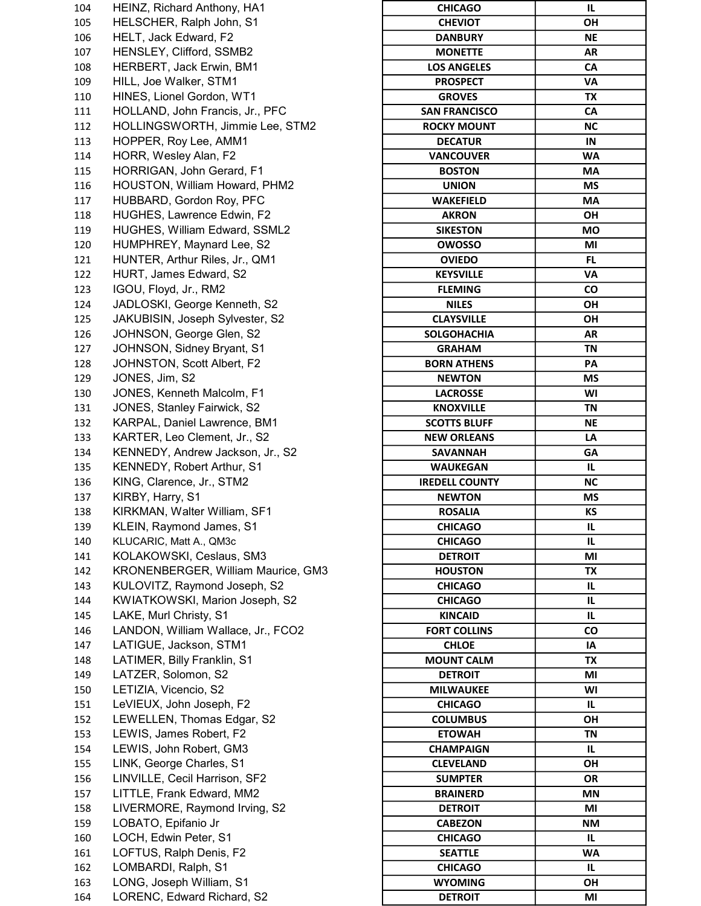| 104 | HEINZ, Richard Anthony, HA1        | <b>CHICAGO</b>        | IL.       |
|-----|------------------------------------|-----------------------|-----------|
| 105 | HELSCHER, Ralph John, S1           | <b>CHEVIOT</b>        | OH        |
| 106 | HELT, Jack Edward, F2              | <b>DANBURY</b>        | NE        |
| 107 | HENSLEY, Clifford, SSMB2           | <b>MONETTE</b>        | AR        |
| 108 | HERBERT, Jack Erwin, BM1           | <b>LOS ANGELES</b>    | CA        |
| 109 | HILL, Joe Walker, STM1             | <b>PROSPECT</b>       | VA        |
| 110 | HINES, Lionel Gordon, WT1          | <b>GROVES</b>         | TX        |
| 111 | HOLLAND, John Francis, Jr., PFC    | <b>SAN FRANCISCO</b>  | CA        |
| 112 | HOLLINGSWORTH, Jimmie Lee, STM2    | <b>ROCKY MOUNT</b>    | <b>NC</b> |
| 113 | HOPPER, Roy Lee, AMM1              | <b>DECATUR</b>        | IN        |
| 114 | HORR, Wesley Alan, F2              | <b>VANCOUVER</b>      | WA        |
| 115 | HORRIGAN, John Gerard, F1          | <b>BOSTON</b>         | MA        |
| 116 | HOUSTON, William Howard, PHM2      | <b>UNION</b>          | ΜS        |
| 117 | HUBBARD, Gordon Roy, PFC           | <b>WAKEFIELD</b>      | МA        |
| 118 | HUGHES, Lawrence Edwin, F2         | <b>AKRON</b>          | OH        |
| 119 | HUGHES, William Edward, SSML2      | <b>SIKESTON</b>       | МO        |
| 120 | HUMPHREY, Maynard Lee, S2          | <b>OWOSSO</b>         | MI        |
| 121 | HUNTER, Arthur Riles, Jr., QM1     | <b>OVIEDO</b>         | FL.       |
| 122 | HURT, James Edward, S2             | <b>KEYSVILLE</b>      | VA        |
| 123 | IGOU, Floyd, Jr., RM2              | <b>FLEMING</b>        | CO        |
| 124 | JADLOSKI, George Kenneth, S2       | <b>NILES</b>          | <b>OH</b> |
| 125 | JAKUBISIN, Joseph Sylvester, S2    | <b>CLAYSVILLE</b>     | OH        |
| 126 | JOHNSON, George Glen, S2           | <b>SOLGOHACHIA</b>    | AR        |
| 127 | JOHNSON, Sidney Bryant, S1         | <b>GRAHAM</b>         | <b>TN</b> |
| 128 | JOHNSTON, Scott Albert, F2         | <b>BORN ATHENS</b>    | PA        |
| 129 | JONES, Jim, S2                     | <b>NEWTON</b>         | ΜS        |
| 130 | JONES, Kenneth Malcolm, F1         | <b>LACROSSE</b>       | WI        |
| 131 | JONES, Stanley Fairwick, S2        | <b>KNOXVILLE</b>      | TN        |
| 132 | KARPAL, Daniel Lawrence, BM1       | <b>SCOTTS BLUFF</b>   | NE        |
| 133 | KARTER, Leo Clement, Jr., S2       | <b>NEW ORLEANS</b>    | LA        |
| 134 | KENNEDY, Andrew Jackson, Jr., S2   | <b>SAVANNAH</b>       | GA        |
| 135 | KENNEDY, Robert Arthur, S1         | <b>WAUKEGAN</b>       | IL.       |
| 136 | KING, Clarence, Jr., STM2          | <b>IREDELL COUNTY</b> | <b>NC</b> |
| 137 | KIRBY, Harry, S1                   | <b>NEWTON</b>         | ΜS        |
| 138 | KIRKMAN, Walter William, SF1       | <b>ROSALIA</b>        | KS        |
| 139 | KLEIN, Raymond James, S1           | <b>CHICAGO</b>        | IL.       |
| 140 | KLUCARIC, Matt A., QM3c            | <b>CHICAGO</b>        | IL.       |
| 141 | KOLAKOWSKI, Ceslaus, SM3           | <b>DETROIT</b>        | ΜI        |
| 142 | KRONENBERGER, William Maurice, GM3 | <b>HOUSTON</b>        | TX        |
| 143 | KULOVITZ, Raymond Joseph, S2       | <b>CHICAGO</b>        | IL.       |
| 144 | KWIATKOWSKI, Marion Joseph, S2     | <b>CHICAGO</b>        | IL.       |
| 145 | LAKE, Murl Christy, S1             | <b>KINCAID</b>        | IL.       |
| 146 | LANDON, William Wallace, Jr., FCO2 | <b>FORT COLLINS</b>   | CO        |
| 147 | LATIGUE, Jackson, STM1             | <b>CHLOE</b>          | IA        |
| 148 | LATIMER, Billy Franklin, S1        | <b>MOUNT CALM</b>     | TX        |
| 149 | LATZER, Solomon, S2                | <b>DETROIT</b>        | MI        |
| 150 | LETIZIA, Vicencio, S2              | <b>MILWAUKEE</b>      | WI        |
| 151 | LeVIEUX, John Joseph, F2           | <b>CHICAGO</b>        | IL.       |
| 152 | LEWELLEN, Thomas Edgar, S2         | <b>COLUMBUS</b>       | OH        |
| 153 | LEWIS, James Robert, F2            | <b>ETOWAH</b>         | <b>TN</b> |
| 154 | LEWIS, John Robert, GM3            | <b>CHAMPAIGN</b>      | IL.       |
| 155 | LINK, George Charles, S1           | <b>CLEVELAND</b>      | OH        |
| 156 | LINVILLE, Cecil Harrison, SF2      | <b>SUMPTER</b>        | OR        |
| 157 | LITTLE, Frank Edward, MM2          | <b>BRAINERD</b>       | ΜN        |
| 158 | LIVERMORE, Raymond Irving, S2      | <b>DETROIT</b>        | MI        |
| 159 | LOBATO, Epifanio Jr                | <b>CABEZON</b>        | <b>NM</b> |
| 160 | LOCH, Edwin Peter, S1              | <b>CHICAGO</b>        | IL.       |
| 161 | LOFTUS, Ralph Denis, F2            | <b>SEATTLE</b>        | WA        |
| 162 | LOMBARDI, Ralph, S1                | <b>CHICAGO</b>        | IL.       |
| 163 | LONG, Joseph William, S1           | <b>WYOMING</b>        | OH        |
| 164 | LORENC, Edward Richard, S2         | <b>DETROIT</b>        | ΜI        |

| <b>CHICAGO</b>        | IL        |
|-----------------------|-----------|
| <b>CHEVIOT</b>        | ΟН        |
| <b>DANBURY</b>        | ΝE        |
| <b>MONETTE</b>        | AR        |
| <b>LOS ANGELES</b>    | CA        |
| <b>PROSPECT</b>       | VA        |
| <b>GROVES</b>         | ТX        |
| <b>SAN FRANCISCO</b>  | СA        |
| <b>ROCKY MOUNT</b>    | ΝC        |
| <b>DECATUR</b>        | IN        |
| <b>VANCOUVER</b>      | <b>WA</b> |
|                       |           |
| <b>BOSTON</b>         | МA        |
| <b>UNION</b>          | ΜS        |
| <b>WAKEFIELD</b>      | <b>MA</b> |
| <b>AKRON</b>          | OΗ        |
| <b>SIKESTON</b>       | <b>MO</b> |
| <b>OWOSSO</b>         | MI        |
| <b>OVIEDO</b>         | FL.       |
| <b>KEYSVILLE</b>      | VA        |
| <b>FLEMING</b>        | CO        |
| <b>NILES</b>          | OН        |
| <b>CLAYSVILLE</b>     | OН        |
| <b>SOLGOHACHIA</b>    | AR        |
| <b>GRAHAM</b>         | <b>TN</b> |
| <b>BORN ATHENS</b>    | PA        |
|                       |           |
| <b>NEWTON</b>         | ΜS        |
| <b>LACROSSE</b>       | WI        |
| <b>KNOXVILLE</b>      | ΤN        |
| <b>SCOTTS BLUFF</b>   | ΝE        |
| <b>NEW ORLEANS</b>    | LA        |
| SAVANNAH              | GΑ        |
| <b>WAUKEGAN</b>       | IL        |
| <b>IREDELL COUNTY</b> | NC        |
| <b>NEWTON</b>         | ΜS        |
| <b>ROSALIA</b>        | КS        |
| <b>CHICAGO</b>        | IL        |
| <b>CHICAGO</b>        | IL        |
| <b>DETROIT</b>        | ΜI        |
| <b>HOUSTON</b>        | TX        |
| <b>CHICAGO</b>        | IL        |
| <b>CHICAGO</b>        | IL        |
| <b>KINCAID</b>        | IL        |
| <b>FORT COLLINS</b>   | CO        |
| <b>CHLOE</b>          | ΙA        |
|                       |           |
| <b>MOUNT CALM</b>     | ТX        |
| <b>DETROIT</b>        | MI        |
| <b>MILWAUKEE</b>      | WI        |
| <b>CHICAGO</b>        | IL        |
| <b>COLUMBUS</b>       | ΟH        |
| <b>ETOWAH</b>         | <b>TN</b> |
| <b>CHAMPAIGN</b>      | IL        |
| <b>CLEVELAND</b>      | ΟH        |
| <b>SUMPTER</b>        | <b>OR</b> |
| <b>BRAINERD</b>       | ΜN        |
| <b>DETROIT</b>        | ΜI        |
| <b>CABEZON</b>        | NΜ        |
| <b>CHICAGO</b>        | IL        |
| <b>SEATTLE</b>        | <b>WA</b> |
| <b>CHICAGO</b>        | IL        |
| <b>WYOMING</b>        | OΗ        |
| <b>DETROIT</b>        | ΜI        |
|                       |           |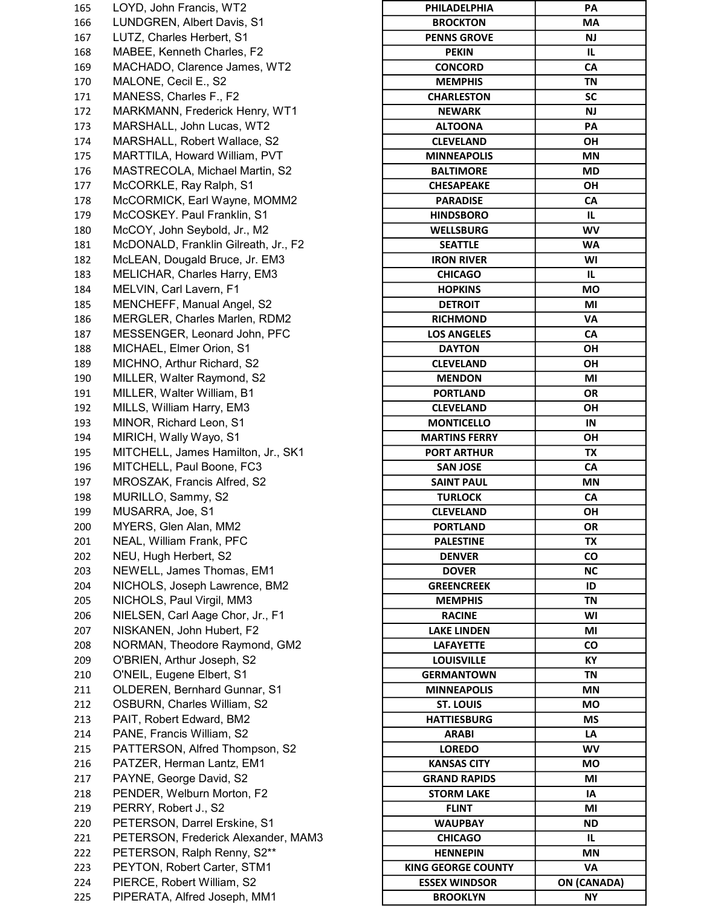165 LOYD, John Francis, WT2 **PHILADELPHIA** 166 LUNDGREN, Albert Davis, S1 167 LUTZ, Charles Herbert, S1 168 MABEE, Kenneth Charles, F2 169 MACHADO, Clarence James, WT2 170 MALONE, Cecil E., S2 171 MANESS, Charles F., F2 172 MARKMANN, Frederick Henry, WT1 173 MARSHALL, John Lucas, WT2 174 MARSHALL, Robert Wallace, S2 175 MARTTILA, Howard William, PVT 176 MASTRECOLA, Michael Martin, S2 177 McCORKLE, Ray Ralph, S1 178 McCORMICK, Earl Wayne, MOMM2 179 McCOSKEY. Paul Franklin, S1 180 McCOY, John Seybold, Jr., M2 181 McDONALD, Franklin Gilreath, Jr., F2 182 McLEAN, Dougald Bruce, Jr. EM3 183 MELICHAR, Charles Harry, EM3 184 MELVIN, Carl Lavern, F1 185 MENCHEFF, Manual Angel, S2 186 MERGLER, Charles Marlen, RDM2 187 MESSENGER, Leonard John, PFC 188 MICHAEL, Elmer Orion, S1 189 MICHNO, Arthur Richard, S2 190 MILLER, Walter Raymond, S2 191 MILLER, Walter William, B1 192 MILLS, William Harry, EM3 193 MINOR, Richard Leon, S1 194 MIRICH, Wally Wayo, S1 195 MITCHELL, James Hamilton, Jr., SK1 196 MITCHELL, Paul Boone, FC3 197 MROSZAK, Francis Alfred, S2 198 MURILLO, Sammy, S2 199 MUSARRA, Joe, S1 200 MYERS, Glen Alan, MM2 201 NEAL, William Frank, PFC 202 NEU, Hugh Herbert, S2 203 NEWELL, James Thomas, EM1 204 NICHOLS, Joseph Lawrence, BM2 205 NICHOLS, Paul Virgil, MM3 206 NIELSEN, Carl Aage Chor, Jr., F1 207 NISKANEN, John Hubert, F2 208 NORMAN, Theodore Raymond, GM2 209 O'BRIEN, Arthur Joseph, S2 210 O'NEIL, Eugene Elbert, S1 211 OLDEREN, Bernhard Gunnar, S1 212 OSBURN, Charles William, S2 213 PAIT, Robert Edward, BM2 214 PANE, Francis William, S2 215 PATTERSON, Alfred Thompson, S2 216 PATZER, Herman Lantz, EM1 217 PAYNE, George David, S2 218 PENDER, Welburn Morton, F2 219 PERRY, Robert J., S2 220 PETERSON, Darrel Erskine, S1 221 PETERSON, Frederick Alexander, MAM3 222 PETERSON, Ralph Renny, S2\*\* 223 PEYTON, Robert Carter, STM1 224 PIERCE, Robert William, S2 225 PIPERATA, Alfred Joseph, MM1

| PHILADELPHIA              | PА                 |
|---------------------------|--------------------|
| <b>BROCKTON</b>           | МA                 |
| <b>PENNS GROVE</b>        | <b>NJ</b>          |
| <b>PEKIN</b>              | IL                 |
| <b>CONCORD</b>            | CA                 |
| <b>MEMPHIS</b>            | ΤN                 |
| <b>CHARLESTON</b>         | <b>SC</b>          |
| <b>NEWARK</b>             | NJ                 |
| <b>ALTOONA</b>            | PА                 |
| <b>CLEVELAND</b>          | ΟН                 |
| <b>MINNEAPOLIS</b>        | ΜN                 |
|                           | MD                 |
| <b>BALTIMORE</b>          |                    |
| <b>CHESAPEAKE</b>         | OН                 |
| <b>PARADISE</b>           | СA                 |
| <b>HINDSBORO</b>          | IL.                |
| <b>WELLSBURG</b>          | <b>WV</b>          |
| <b>SEATTLE</b>            | WA                 |
| <b>IRON RIVER</b>         | WI                 |
| <b>CHICAGO</b>            | IL                 |
| <b>HOPKINS</b>            | МO                 |
| <b>DETROIT</b>            | ΜI                 |
| <b>RICHMOND</b>           | VA                 |
| <b>LOS ANGELES</b>        | CA                 |
| <b>DAYTON</b>             | OН                 |
| <b>CLEVELAND</b>          | ΟН                 |
| <b>MENDON</b>             | ΜI                 |
| <b>PORTLAND</b>           | OR                 |
| <b>CLEVELAND</b>          | ΟН                 |
| <b>MONTICELLO</b>         |                    |
|                           | IN                 |
| <b>MARTINS FERRY</b>      | ΟН                 |
| <b>PORT ARTHUR</b>        | ΤХ                 |
| <b>SAN JOSE</b>           | CA                 |
| <b>SAINT PAUL</b>         | ΜN                 |
| TURLOCK                   | СA                 |
| <b>CLEVELAND</b>          | ΟН                 |
| <b>PORTLAND</b>           | OR                 |
| <b>PALESTINE</b>          | ТX                 |
| <b>DENVER</b>             | <b>CO</b>          |
| <b>DOVER</b>              | ΝC                 |
| <b>GREENCREEK</b>         | ID                 |
| <b>MEMPHIS</b>            | <b>TN</b>          |
| <b>RACINE</b>             | W١                 |
| <b>LAKE LINDEN</b>        | MI                 |
| <b>LAFAYETTE</b>          | CO                 |
| LOUISVILLE                | KY                 |
| <b>GERMANTOWN</b>         | ΤN                 |
| <b>MINNEAPOLIS</b>        | <b>MN</b>          |
|                           |                    |
| <b>ST. LOUIS</b>          | МO                 |
| <b>HATTIESBURG</b>        | ΜS                 |
| <b>ARABI</b>              | LA                 |
| <b>LOREDO</b>             | <b>WV</b>          |
| KANSAS CITY               | МO                 |
| <b>GRAND RAPIDS</b>       | ΜI                 |
| <b>STORM LAKE</b>         | IA                 |
| <b>FLINT</b>              | MI                 |
| <b>WAUPBAY</b>            | ND                 |
| <b>CHICAGO</b>            | IL                 |
| <b>HENNEPIN</b>           | ΜN                 |
| <b>KING GEORGE COUNTY</b> | VA                 |
| <b>ESSEX WINDSOR</b>      | <b>ON (CANADA)</b> |
| <b>BROOKLYN</b>           | NΥ                 |
|                           |                    |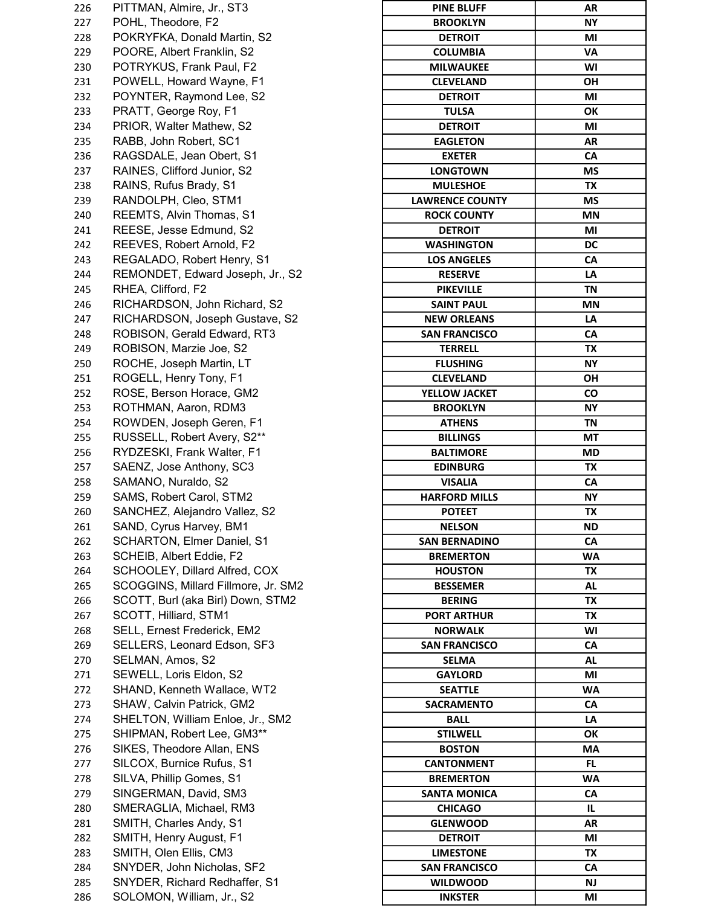226 PITTMAN, Almire, Jr., ST3 227 POHL, Theodore, F2 228 POKRYFKA, Donald Martin, S2 229 POORE, Albert Franklin, S2 230 POTRYKUS, Frank Paul, F2 231 POWELL, Howard Wayne, F1 232 POYNTER, Raymond Lee, S2 233 PRATT, George Roy, F1 234 PRIOR, Walter Mathew, S2 235 RABB, John Robert, SC1 236 RAGSDALE, Jean Obert, S1 237 RAINES, Clifford Junior, S2 238 RAINS, Rufus Brady, S1 239 RANDOLPH, Cleo, STM1 240 REEMTS, Alvin Thomas, S1 241 REESE, Jesse Edmund, S2 242 REEVES, Robert Arnold, F2 243 REGALADO, Robert Henry, S1 244 REMONDET, Edward Joseph, Jr., S2 245 RHEA, Clifford, F2 246 RICHARDSON, John Richard, S2 247 RICHARDSON, Joseph Gustave, S2 248 ROBISON, Gerald Edward, RT3 249 ROBISON, Marzie Joe, S2 250 ROCHE, Joseph Martin, LT 251 ROGELL, Henry Tony, F1 252 ROSE, Berson Horace, GM2 253 ROTHMAN, Aaron, RDM3 254 ROWDEN, Joseph Geren, F1 255 RUSSELL, Robert Avery, S2\*\* 256 RYDZESKI, Frank Walter, F1 257 SAENZ, Jose Anthony, SC3 258 SAMANO, Nuraldo, S2 259 SAMS, Robert Carol, STM2 260 SANCHEZ, Alejandro Vallez, S2 261 SAND, Cyrus Harvey, BM1 262 SCHARTON, Elmer Daniel, S1 263 SCHEIB, Albert Eddie, F2 264 SCHOOLEY, Dillard Alfred, COX 265 SCOGGINS, Millard Fillmore, Jr. SM2 266 SCOTT, Burl (aka Birl) Down, STM2 267 SCOTT, Hilliard, STM1 268 SELL, Ernest Frederick, EM2 269 SELLERS, Leonard Edson, SF3 270 SELMAN, Amos, S2 271 SEWELL, Loris Eldon, S2 272 SHAND, Kenneth Wallace, WT2 273 SHAW, Calvin Patrick, GM2 274 SHELTON, William Enloe, Jr., SM2 275 SHIPMAN, Robert Lee, GM3\*\* 276 SIKES, Theodore Allan, ENS 277 SILCOX, Burnice Rufus, S1 278 SILVA, Phillip Gomes, S1 279 SINGERMAN, David, SM3 280 SMERAGLIA, Michael, RM3 281 SMITH, Charles Andy, S1 282 SMITH, Henry August, F1 283 SMITH, Olen Ellis, CM3 284 SNYDER, John Nicholas, SF2 285 SNYDER, Richard Redhaffer, S1 286 SOLOMON, William, Jr., S2

| <b>PINE BLUFF</b>      | AR        |
|------------------------|-----------|
| <b>BROOKLYN</b>        | NΥ        |
| <b>DETROIT</b>         | MI        |
| <b>COLUMBIA</b>        | <b>VA</b> |
| <b>MILWAUKEE</b>       | W١        |
| <b>CLEVELAND</b>       | ΟH        |
| <b>DETROIT</b>         | MI        |
| <b>TULSA</b>           | ОΚ        |
| <b>DETROIT</b>         | MI        |
| <b>EAGLETON</b>        | AR        |
| <b>EXETER</b>          | CA        |
| <b>LONGTOWN</b>        | ΜS        |
| <b>MULESHOE</b>        | ТX        |
| <b>LAWRENCE COUNTY</b> | ΜS        |
| <b>ROCK COUNTY</b>     | <b>MN</b> |
| <b>DETROIT</b>         | MI        |
| <b>WASHINGTON</b>      | DC        |
| <b>LOS ANGELES</b>     |           |
|                        | СA        |
| <b>RESERVE</b>         | LA        |
| <b>PIKEVILLE</b>       | <b>TN</b> |
| <b>SAINT PAUL</b>      | <b>MN</b> |
| <b>NEW ORLEANS</b>     | LA        |
| <b>SAN FRANCISCO</b>   | CA        |
| <b>TERRELL</b>         | ТX        |
| <b>FLUSHING</b>        | NΥ        |
| <b>CLEVELAND</b>       | ΟН        |
| YELLOW JACKET          | CO        |
| <b>BROOKLYN</b>        | NΥ        |
| <b>ATHENS</b>          | <b>TN</b> |
| <b>BILLINGS</b>        | МT        |
| <b>BALTIMORE</b>       | MD        |
| <b>EDINBURG</b>        | ТX        |
| <b>VISALIA</b>         | CA        |
| <b>HARFORD MILLS</b>   | NΥ        |
| <b>POTEET</b>          | ТX        |
| <b>NELSON</b>          | <b>ND</b> |
| <b>SAN BERNADINO</b>   | CA        |
| <b>BREMERTON</b>       | WA        |
| <b>HOUSTON</b>         | TX        |
| <b>BESSEMER</b>        | AL        |
| <b>BERING</b>          | <b>TX</b> |
| <b>PORT ARTHUR</b>     | ТX        |
| <b>NORWALK</b>         | W١        |
| <b>SAN FRANCISCO</b>   | СA        |
| <b>SELMA</b>           | AL        |
| <b>GAYLORD</b>         | ΜI        |
|                        |           |
| <b>SEATTLE</b>         | WA        |
| <b>SACRAMENTO</b>      | СA        |
| <b>BALL</b>            | LA        |
| <b>STILWELL</b>        | OΚ        |
| <b>BOSTON</b>          | МA        |
| <b>CANTONMENT</b>      | FL.       |
| <b>BREMERTON</b>       | <b>WA</b> |
| <b>SANTA MONICA</b>    | СA        |
| <b>CHICAGO</b>         | IL        |
| <b>GLENWOOD</b>        | AR        |
| <b>DETROIT</b>         | ΜI        |
| <b>LIMESTONE</b>       | ТX        |
| <b>SAN FRANCISCO</b>   | CA        |
| <b>WILDWOOD</b>        | <b>NJ</b> |
| <b>INKSTER</b>         | MI        |